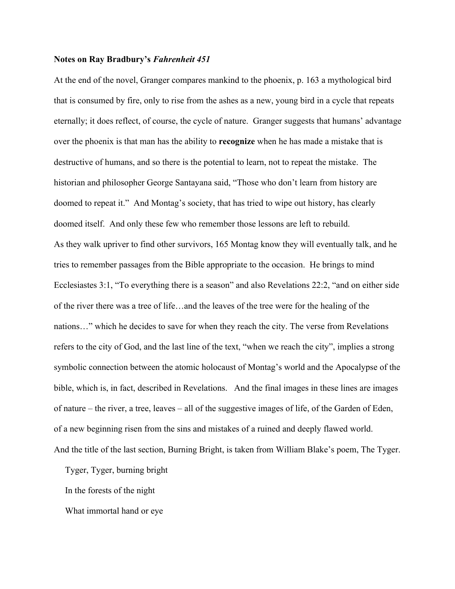## **Notes on Ray Bradbury's** *Fahrenheit 451*

At the end of the novel, Granger compares mankind to the phoenix, p. 163 a mythological bird that is consumed by fire, only to rise from the ashes as a new, young bird in a cycle that repeats eternally; it does reflect, of course, the cycle of nature. Granger suggests that humans' advantage over the phoenix is that man has the ability to **recognize** when he has made a mistake that is destructive of humans, and so there is the potential to learn, not to repeat the mistake. The historian and philosopher George Santayana said, "Those who don't learn from history are doomed to repeat it." And Montag's society, that has tried to wipe out history, has clearly doomed itself. And only these few who remember those lessons are left to rebuild. As they walk upriver to find other survivors, 165 Montag know they will eventually talk, and he tries to remember passages from the Bible appropriate to the occasion. He brings to mind Ecclesiastes 3:1, "To everything there is a season" and also Revelations 22:2, "and on either side of the river there was a tree of life…and the leaves of the tree were for the healing of the nations…" which he decides to save for when they reach the city. The verse from Revelations refers to the city of God, and the last line of the text, "when we reach the city", implies a strong symbolic connection between the atomic holocaust of Montag's world and the Apocalypse of the bible, which is, in fact, described in Revelations. And the final images in these lines are images of nature – the river, a tree, leaves – all of the suggestive images of life, of the Garden of Eden, of a new beginning risen from the sins and mistakes of a ruined and deeply flawed world. And the title of the last section, Burning Bright, is taken from William Blake's poem, The Tyger.

Tyger, Tyger, burning bright

In the forests of the night

What immortal hand or eye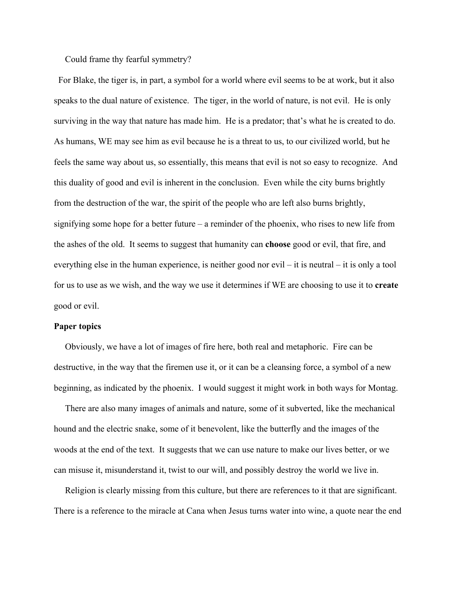Could frame thy fearful symmetry?

 For Blake, the tiger is, in part, a symbol for a world where evil seems to be at work, but it also speaks to the dual nature of existence. The tiger, in the world of nature, is not evil. He is only surviving in the way that nature has made him. He is a predator; that's what he is created to do. As humans, WE may see him as evil because he is a threat to us, to our civilized world, but he feels the same way about us, so essentially, this means that evil is not so easy to recognize. And this duality of good and evil is inherent in the conclusion. Even while the city burns brightly from the destruction of the war, the spirit of the people who are left also burns brightly, signifying some hope for a better future – a reminder of the phoenix, who rises to new life from the ashes of the old. It seems to suggest that humanity can **choose** good or evil, that fire, and everything else in the human experience, is neither good nor evil – it is neutral – it is only a tool for us to use as we wish, and the way we use it determines if WE are choosing to use it to **create** good or evil.

## **Paper topics**

 Obviously, we have a lot of images of fire here, both real and metaphoric. Fire can be destructive, in the way that the firemen use it, or it can be a cleansing force, a symbol of a new beginning, as indicated by the phoenix. I would suggest it might work in both ways for Montag.

 There are also many images of animals and nature, some of it subverted, like the mechanical hound and the electric snake, some of it benevolent, like the butterfly and the images of the woods at the end of the text. It suggests that we can use nature to make our lives better, or we can misuse it, misunderstand it, twist to our will, and possibly destroy the world we live in.

 Religion is clearly missing from this culture, but there are references to it that are significant. There is a reference to the miracle at Cana when Jesus turns water into wine, a quote near the end